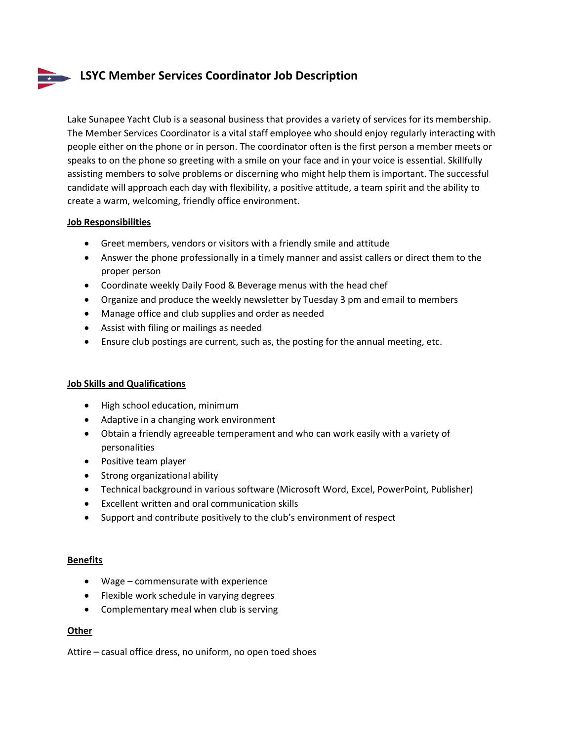# **LSYC Member Services Coordinator Job Description**

Lake Sunapee Yacht Club is a seasonal business that provides a variety of services for its membership. The Member Services Coordinator is a vital staff employee who should enjoy regularly interacting with people either on the phone or in person. The coordinator often is the first person a member meets or speaks to on the phone so greeting with a smile on your face and in your voice is essential. Skillfully assisting members to solve problems or discerning who might help them is important. The successful candidate will approach each day with flexibility, a positive attitude, a team spirit and the ability to create a warm, welcoming, friendly office environment.

## **Job Responsibilities**

- Greet members, vendors or visitors with a friendly smile and attitude
- Answer the phone professionally in a timely manner and assist callers or direct them to the proper person
- Coordinate weekly Daily Food & Beverage menus with the head chef
- Organize and produce the weekly newsletter by Tuesday 3 pm and email to members
- Manage office and club supplies and order as needed
- Assist with filing or mailings as needed
- Ensure club postings are current, such as, the posting for the annual meeting, etc.

### **Job Skills and Qualifications**

- High school education, minimum
- Adaptive in a changing work environment
- Obtain a friendly agreeable temperament and who can work easily with a variety of personalities
- Positive team player
- Strong organizational ability
- Technical background in various software (Microsoft Word, Excel, PowerPoint, Publisher)
- Excellent written and oral communication skills
- Support and contribute positively to the club's environment of respect

### **Benefits**

- Wage commensurate with experience
- Flexible work schedule in varying degrees
- Complementary meal when club is serving

### **Other**

Attire – casual office dress, no uniform, no open toed shoes